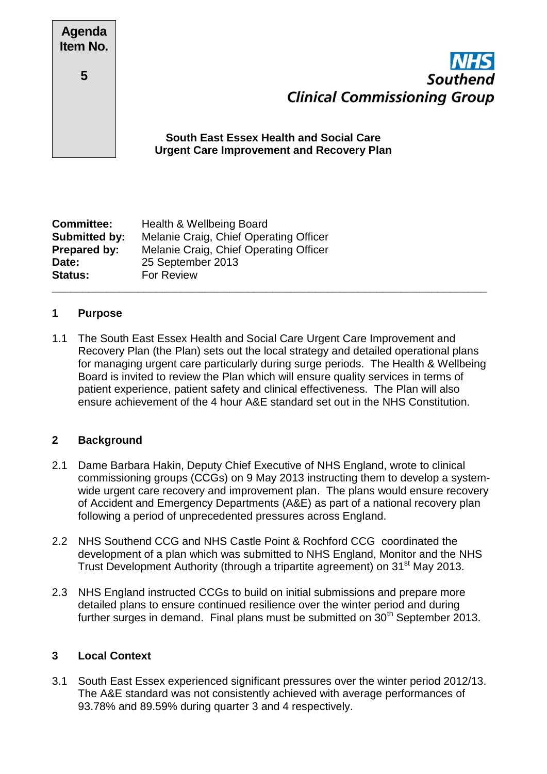| <b>Agenda</b><br>Item No. |              |
|---------------------------|--------------|
| 5                         |              |
|                           | Sou<br>Urgen |



# **Ith East Essex Health and Social Care Let Care Improvement and Recovery Plan**

| <b>Committee:</b>    | Health & Wellbeing Board               |  |
|----------------------|----------------------------------------|--|
| <b>Submitted by:</b> | Melanie Craig, Chief Operating Officer |  |
| Prepared by:         | Melanie Craig, Chief Operating Officer |  |
| Date:                | 25 September 2013                      |  |
| <b>Status:</b>       | For Review                             |  |
|                      |                                        |  |

### **1 Purpose**

1.1 The South East Essex Health and Social Care Urgent Care Improvement and Recovery Plan (the Plan) sets out the local strategy and detailed operational plans for managing urgent care particularly during surge periods. The Health & Wellbeing Board is invited to review the Plan which will ensure quality services in terms of patient experience, patient safety and clinical effectiveness. The Plan will also ensure achievement of the 4 hour A&E standard set out in the NHS Constitution.

#### **2 Background**

- 2.1 Dame Barbara Hakin, Deputy Chief Executive of NHS England, wrote to clinical commissioning groups (CCGs) on 9 May 2013 instructing them to develop a systemwide urgent care recovery and improvement plan. The plans would ensure recovery of Accident and Emergency Departments (A&E) as part of a national recovery plan following a period of unprecedented pressures across England.
- 2.2 NHS Southend CCG and NHS Castle Point & Rochford CCG coordinated the development of a plan which was submitted to NHS England, Monitor and the NHS Trust Development Authority (through a tripartite agreement) on 31<sup>st</sup> May 2013.
- 2.3 NHS England instructed CCGs to build on initial submissions and prepare more detailed plans to ensure continued resilience over the winter period and during further surges in demand. Final plans must be submitted on  $30<sup>th</sup>$  September 2013.

# **3 Local Context**

3.1 South East Essex experienced significant pressures over the winter period 2012/13. The A&E standard was not consistently achieved with average performances of 93.78% and 89.59% during quarter 3 and 4 respectively.